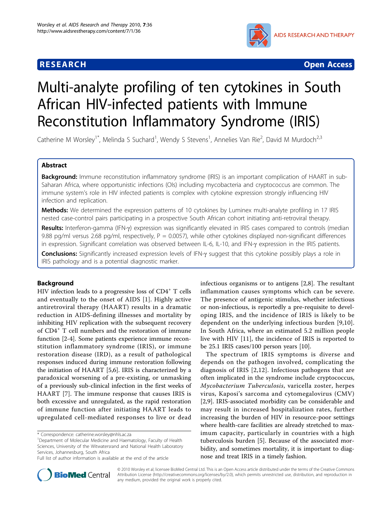

**RESEARCH CONTROL** CONTROL CONTROL CONTROL CONTROL CONTROL CONTROL CONTROL CONTROL CONTROL CONTROL CONTROL CONTROL

# Multi-analyte profiling of ten cytokines in South African HIV-infected patients with Immune Reconstitution Inflammatory Syndrome (IRIS)

Catherine M Worsley<sup>1\*</sup>, Melinda S Suchard<sup>1</sup>, Wendy S Stevens<sup>1</sup>, Annelies Van Rie<sup>2</sup>, David M Murdoch<sup>2,3</sup>

# Abstract

Background: Immune reconstitution inflammatory syndrome (IRIS) is an important complication of HAART in sub-Saharan Africa, where opportunistic infections (OIs) including mycobacteria and cryptococcus are common. The immune system's role in HIV infected patients is complex with cytokine expression strongly influencing HIV infection and replication.

Methods: We determined the expression patterns of 10 cytokines by Luminex multi-analyte profiling in 17 IRIS nested case-control pairs participating in a prospective South African cohort initiating anti-retroviral therapy.

Results: Interferon-gamma (IFN-y) expression was significantly elevated in IRIS cases compared to controls (median 9.88 pg/ml versus 2.68 pg/ml, respectively,  $P = 0.0057$ ), while other cytokines displayed non-significant differences in expression. Significant correlation was observed between IL-6, IL-10, and IFN-g expression in the IRIS patients.

Conclusions: Significantly increased expression levels of IFN-y suggest that this cytokine possibly plays a role in IRIS pathology and is a potential diagnostic marker.

# Background

HIV infection leads to a progressive loss of  $CD4^+$  T cells and eventually to the onset of AIDS [[1](#page-5-0)]. Highly active antiretroviral therapy (HAART) results in a dramatic reduction in AIDS-defining illnesses and mortality by inhibiting HIV replication with the subsequent recovery of CD4<sup>+</sup> T cell numbers and the restoration of immune function [\[2](#page-5-0)-[4\]](#page-5-0). Some patients experience immune reconstitution inflammatory syndrome (IRIS), or immune restoration disease (IRD), as a result of pathological responses induced during immune restoration following the initiation of HAART [[5,6\]](#page-5-0). IRIS is characterized by a paradoxical worsening of a pre-existing, or unmasking of a previously sub-clinical infection in the first weeks of HAART [\[7](#page-5-0)]. The immune response that causes IRIS is both excessive and unregulated, as the rapid restoration of immune function after initiating HAART leads to upregulated cell-mediated responses to live or dead

\* Correspondence: [catherine.worsley@nhls.ac.za](mailto:catherine.worsley@nhls.ac.za)

infectious organisms or to antigens [[2,8\]](#page-5-0). The resultant inflammation causes symptoms which can be severe. The presence of antigenic stimulus, whether infectious or non-infectious, is reportedly a pre-requisite to developing IRIS, and the incidence of IRIS is likely to be dependent on the underlying infectious burden [\[9](#page-5-0),[10](#page-5-0)]. In South Africa, where an estimated 5.2 million people live with HIV [[11](#page-5-0)], the incidence of IRIS is reported to be 25.1 IRIS cases/100 person years [[10\]](#page-5-0).

The spectrum of IRIS symptoms is diverse and depends on the pathogen involved, complicating the diagnosis of IRIS [[2](#page-5-0),[12\]](#page-5-0). Infectious pathogens that are often implicated in the syndrome include cryptococcus, Mycobacterium Tuberculosis, varicella zoster, herpes virus, Kaposi's sarcoma and cytomegalovirus (CMV) [[2,9\]](#page-5-0). IRIS-associated morbidity can be considerable and may result in increased hospitalization rates, further increasing the burden of HIV in resource-poor settings where health-care facilities are already stretched to maximum capacity, particularly in countries with a high tuberculosis burden [\[5](#page-5-0)]. Because of the associated morbidity, and sometimes mortality, it is important to diagnose and treat IRIS in a timely fashion.



© 2010 Worsley et al; licensee BioMed Central Ltd. This is an Open Access article distributed under the terms of the Creative Commons Attribution License [\(http://creativecommons.org/licenses/by/2.0](http://creativecommons.org/licenses/by/2.0)), which permits unrestricted use, distribution, and reproduction in any medium, provided the original work is properly cited.

<sup>&</sup>lt;sup>1</sup>Department of Molecular Medicine and Haematology, Faculty of Health Sciences, University of the Witwatersrand and National Health Laboratory Services, Johannesburg, South Africa

Full list of author information is available at the end of the article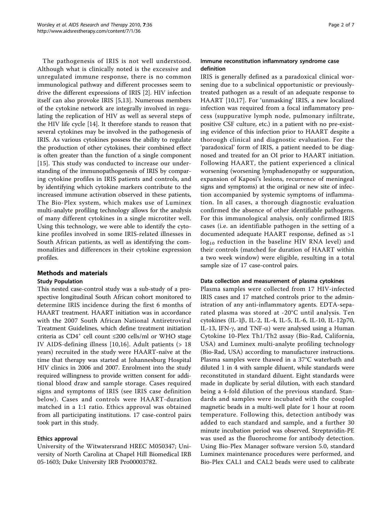The pathogenesis of IRIS is not well understood. Although what is clinically noted is the excessive and unregulated immune response, there is no common immunological pathway and different processes seem to drive the different expressions of IRIS [\[2](#page-5-0)]. HIV infection itself can also provoke IRIS [[5,13](#page-5-0)]. Numerous members of the cytokine network are integrally involved in regulating the replication of HIV as well as several steps of the HIV life cycle [[14\]](#page-5-0). It therefore stands to reason that several cytokines may be involved in the pathogenesis of IRIS. As various cytokines possess the ability to regulate the production of other cytokines, their combined effect is often greater than the function of a single component [[15](#page-5-0)]. This study was conducted to increase our understanding of the immunopathogenesis of IRIS by comparing cytokine profiles in IRIS patients and controls, and by identifying which cytokine markers contribute to the increased immune activation observed in these patients, The Bio-Plex system, which makes use of Luminex multi-analyte profiling technology allows for the analysis of many different cytokines in a single microtiter well. Using this technology, we were able to identify the cytokine profiles involved in some IRIS-related illnesses in South African patients, as well as identifying the commonalities and differences in their cytokine expression profiles.

# Methods and materials

# Study Population

This nested case-control study was a sub-study of a prospective longitudinal South African cohort monitored to determine IRIS incidence during the first 6 months of HAART treatment. HAART initiation was in accordance with the 2007 South African National Antiretroviral Treatment Guidelines, which define treatment initiation criteria as  $CD4^+$  cell count ≤200 cells/ml or WHO stage IV AIDS-defining illness [[10](#page-5-0),[16\]](#page-5-0). Adult patients (> 18 years) recruited in the study were HAART-naïve at the time that therapy was started at Johannesburg Hospital HIV clinics in 2006 and 2007. Enrolment into the study required willingness to provide written consent for additional blood draw and sample storage. Cases required signs and symptoms of IRIS (see IRIS case definition below). Cases and controls were HAART-duration matched in a 1:1 ratio. Ethics approval was obtained from all participating institutions. 17 case-control pairs took part in this study.

# Ethics approval

University of the Witwatersrand HREC M050347; University of North Carolina at Chapel Hill Biomedical IRB 05-1603; Duke University IRB Pro00003782.

### Immune reconstitution inflammatory syndrome case definition

IRIS is generally defined as a paradoxical clinical worsening due to a subclinical opportunistic or previouslytreated pathogen as a result of an adequate response to HAART [\[10](#page-5-0),[17\]](#page-5-0). For 'unmasking' IRIS, a new localized infection was required from a focal inflammatory process (suppurative lymph node, pulmonary infiltrate, positive CSF culture, etc.) in a patient with no pre-existing evidence of this infection prior to HAART despite a thorough clinical and diagnostic evaluation. For the 'paradoxical' form of IRIS, a patient needed to be diagnosed and treated for an OI prior to HAART initiation. Following HAART, the patient experienced a clinical worsening (worsening lymphadenopathy or suppuration, expansion of Kaposi's lesions, recurrence of meningeal signs and symptoms) at the original or new site of infection accompanied by systemic symptoms of inflammation. In all cases, a thorough diagnostic evaluation confirmed the absence of other identifiable pathogens. For this immunological analysis, only confirmed IRIS cases (i.e. an identifiable pathogen in the setting of a documented adequate HAART response, defined as >1  $log_{10}$  reduction in the baseline HIV RNA level) and their controls (matched for duration of HAART within a two week window) were eligible, resulting in a total sample size of 17 case-control pairs.

#### Data collection and measurement of plasma cytokines

Plasma samples were collected from 17 HIV-infected IRIS cases and 17 matched controls prior to the administration of any anti-inflammatory agents. EDTA-separated plasma was stored at -20°C until analysis. Ten cytokines (IL-1b, IL-2, IL-4, IL-5, IL-6, IL-10, IL-12p70, IL-13, IFN- $\gamma$ , and TNF- $\alpha$ ) were analysed using a Human Cytokine 10-Plex Th1/Th2 assay (Bio-Rad, California, USA) and Luminex multi-analyte profiling technology (Bio-Rad, USA) according to manufacturer instructions. Plasma samples were thawed in a 37°C waterbath and diluted 1 in 4 with sample diluent, while standards were reconstituted in standard diluent. Eight standards were made in duplicate by serial dilution, with each standard being a 4-fold dilution of the previous standard. Standards and samples were incubated with the coupled magnetic beads in a multi-well plate for 1 hour at room temperature. Following this, detection antibody was added to each standard and sample, and a further 30 minute incubation period was observed. Streptavidin-PE was used as the fluorochrome for antibody detection. Using Bio-Plex Manager software version 5.0, standard Luminex maintenance procedures were performed, and Bio-Plex CAL1 and CAL2 beads were used to calibrate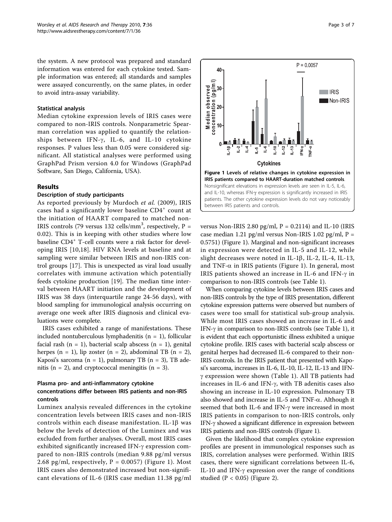the system. A new protocol was prepared and standard information was entered for each cytokine tested. Sample information was entered; all standards and samples were assayed concurrently, on the same plates, in order to avoid intra-assay variability.

#### Statistical analysis

Median cytokine expression levels of IRIS cases were compared to non-IRIS controls. Nonparametric Spearman correlation was applied to quantify the relationships between IFN- $\gamma$ , IL-6, and IL-10 cytokine responses. P values less than 0.05 were considered significant. All statistical analyses were performed using GraphPad Prism version 4.0 for Windows (GraphPad Software, San Diego, California, USA).

### Results

#### Description of study participants

As reported previously by Murdoch et al. (2009), IRIS cases had a significantly lower baseline CD4<sup>+</sup> count at the initiation of HAART compared to matched non-IRIS controls (79 versus 132 cells/mm<sup>3</sup>, respectively, P = 0.02). This is in keeping with other studies where low baseline CD4<sup>+</sup> T-cell counts were a risk factor for developing IRIS [\[10,18](#page-5-0)]. HIV RNA levels at baseline and at sampling were similar between IRIS and non-IRIS control groups [[17\]](#page-5-0). This is unexpected as viral load usually correlates with immune activation which potentially feeds cytokine production [\[19](#page-5-0)]. The median time interval between HAART initiation and the development of IRIS was 38 days (interquartile range 24-56 days), with blood sampling for immunological analysis occurring on average one week after IRIS diagnosis and clinical evaluations were complete.

IRIS cases exhibited a range of manifestations. These included nontuberculous lymphadenitis ( $n = 1$ ), follicular facial rash  $(n = 1)$ , bacterial scalp abscess  $(n = 1)$ , genital herpes  $(n = 1)$ , lip zoster  $(n = 2)$ , abdominal TB  $(n = 2)$ , Kaposi's sarcoma ( $n = 1$ ), pulmonary TB ( $n = 3$ ), TB adenitis ( $n = 2$ ), and cryptococcal meningitis ( $n = 3$ ).

### Plasma pro- and anti-inflammatory cytokine concentrations differ between IRIS patients and non-IRIS controls

Luminex analysis revealed differences in the cytokine concentration levels between IRIS cases and non-IRIS controls within each disease manifestation. IL-1 $\beta$  was below the levels of detection of the Luminex and was excluded from further analyses. Overall, most IRIS cases exhibited significantly increased IFN- $\gamma$  expression compared to non-IRIS controls (median 9.88 pg/ml versus 2.68 pg/ml, respectively,  $P = 0.0057$ ) (Figure 1). Most IRIS cases also demonstrated increased but non-significant elevations of IL-6 (IRIS case median 11.38 pg/ml



versus Non-IRIS 2.80 pg/ml,  $P = 0.2114$ ) and IL-10 (IRIS case median 1.21 pg/ml versus Non-IRIS 1.02 pg/ml,  $P =$ 0.5751) (Figure 1). Marginal and non-significant increases in expression were detected in IL-5 and IL-12, while slight decreases were noted in IL-1 $\beta$ , IL-2, IL-4, IL-13, and TNF- $\alpha$  in IRIS patients (Figure 1). In general, most IRIS patients showed an increase in IL-6 and IFN- $\gamma$  in comparison to non-IRIS controls (see Table [1](#page-3-0)).

When comparing cytokine levels between IRIS cases and non-IRIS controls by the type of IRIS presentation, different cytokine expression patterns were observed but numbers of cases were too small for statistical sub-group analysis. While most IRIS cases showed an increase in IL-6 and IFN- $\gamma$  in comparison to non-IRIS controls (see Table [1\)](#page-3-0), it is evident that each opportunistic illness exhibited a unique cytokine profile. IRIS cases with bacterial scalp abscess or genital herpes had decreased IL-6 compared to their non-IRIS controls. In the IRIS patient that presented with Kaposi's sarcoma, increases in IL-6, IL-10, IL-12, IL-13 and IFN- $\gamma$  expression were shown (Table [1](#page-3-0)). All TB patients had increases in IL-6 and IFN- $\gamma$ , with TB adenitis cases also showing an increase in IL-10 expression. Pulmonary TB also showed and increase in IL-5 and TNF- $\alpha$ . Although it seemed that both IL-6 and IFN- $\gamma$  were increased in most IRIS patients in comparison to non-IRIS controls, only IFN- $\gamma$  showed a significant difference in expression between IRIS patients and non-IRIS controls (Figure 1).

Given the likelihood that complex cytokine expression profiles are present in immunological responses such as IRIS, correlation analyses were performed. Within IRIS cases, there were significant correlations between IL-6, IL-10 and IFN- $\gamma$  expression over the range of conditions studied  $(P < 0.05)$  (Figure [2](#page-3-0)).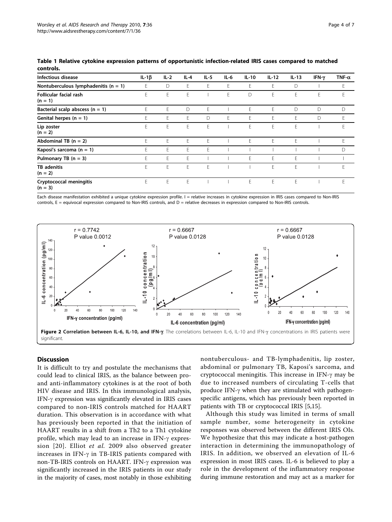| Infectious disease                       | IL-1 $\beta$ | $IL-2$ | $IL-4$ | $IL-5$ | $IL-6$ | $IL-10$ | $IL-12$ | $IL-13$ | IFN-y | TNF- $\alpha$ |
|------------------------------------------|--------------|--------|--------|--------|--------|---------|---------|---------|-------|---------------|
| Nontuberculous lymphadenitis ( $n = 1$ ) | E            | D      | E      | E      | E      | E       | F.      | D       |       | E             |
| Follicular facial rash<br>$(n = 1)$      | E.           | E      | E      |        | E      | D       | E       | F       | E     | E             |
| Bacterial scalp abscess ( $n = 1$ )      | F.           | F.     | D      | E      |        | E       | F.      | D       | D     | D             |
| Genital herpes $(n = 1)$                 | F.           | F      | E      | D      | E      | E       | F.      | F       | D     | E             |
| Lip zoster<br>$(n = 2)$                  | E            | E      | E      | E      |        | E       | E       | E       |       | E             |
| Abdominal TB $(n = 2)$                   | F.           | F      | F      | E      |        | E       | F.      | F       |       | E             |
| Kaposi's sarcoma $(n = 1)$               | F.           | F.     | F.     | F      |        |         |         |         |       | D             |
| Pulmonary TB $(n = 3)$                   | E            | F.     | F      |        |        | E       | F.      | F       |       |               |
| <b>TB</b> adenitis<br>$(n = 2)$          | F.           | F      | E      | E      |        |         | E       | F       |       | F             |
| Cryptococcal meningitis<br>$(n = 3)$     | F.           | F.     | F      |        |        | F       | F.      | F       |       | F.            |

<span id="page-3-0"></span>Table 1 Relative cytokine expression patterns of opportunistic infection-related IRIS cases compared to matched controls.

Each disease manifestation exhibited a unique cytokine expression profile. I = relative increases in cytokine expression in IRIS cases compared to Non-IRIS controls,  $E =$  equivocal expression compared to Non-IRIS controls, and  $D =$  relative decreases in expression compared to Non-IRIS controls.



# Discussion

It is difficult to try and postulate the mechanisms that could lead to clinical IRIS, as the balance between proand anti-inflammatory cytokines is at the root of both HIV disease and IRIS. In this immunological analysis, IFN-g expression was significantly elevated in IRIS cases compared to non-IRIS controls matched for HAART duration. This observation is in accordance with what has previously been reported in that the initiation of HAART results in a shift from a Th2 to a Th1 cytokine profile, which may lead to an increase in IFN- $\gamma$  expression [[20\]](#page-5-0). Elliot et al. 2009 also observed greater increases in IFN- $\gamma$  in TB-IRIS patients compared with non-TB-IRIS controls on HAART. IFN-g expression was significantly increased in the IRIS patients in our study in the majority of cases, most notably in those exhibiting nontuberculous- and TB-lymphadenitis, lip zoster, abdominal or pulmonary TB, Kaposi's sarcoma, and cryptococcal meningitis. This increase in IFN- $\gamma$  may be due to increased numbers of circulating T-cells that produce IFN- $\gamma$  when they are stimulated with pathogenspecific antigens, which has previously been reported in patients with TB or cryptococcal IRIS [[5,15](#page-5-0)].

Although this study was limited in terms of small sample number, some heterogeneity in cytokine responses was observed between the different IRIS OIs. We hypothesize that this may indicate a host-pathogen interaction in determining the immunopathology of IRIS. In addition, we observed an elevation of IL-6 expression in most IRIS cases. IL-6 is believed to play a role in the development of the inflammatory response during immune restoration and may act as a marker for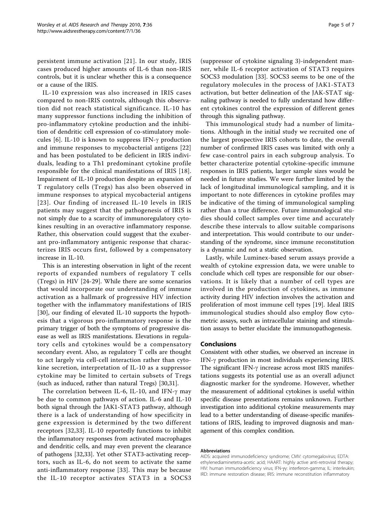persistent immune activation [[21](#page-5-0)]. In our study, IRIS cases produced higher amounts of IL-6 than non-IRIS controls, but it is unclear whether this is a consequence or a cause of the IRIS.

IL-10 expression was also increased in IRIS cases compared to non-IRIS controls, although this observation did not reach statistical significance. IL-10 has many suppressor functions including the inhibition of pro-inflammatory cytokine production and the inhibition of dendritic cell expression of co-stimulatory molecules  $[6]$  $[6]$ . IL-10 is known to suppress IFN- $\gamma$  production and immune responses to mycobacterial antigens [[22](#page-5-0)] and has been postulated to be deficient in IRIS individuals, leading to a Th1 predominant cytokine profile responsible for the clinical manifestations of IRIS [[18](#page-5-0)]. Impairment of IL-10 production despite an expansion of T regulatory cells (Tregs) has also been observed in immune responses to atypical mycobacterial antigens [[23](#page-5-0)]. Our finding of increased IL-10 levels in IRIS patients may suggest that the pathogenesis of IRIS is not simply due to a scarcity of immunoregulatory cytokines resulting in an overactive inflammatory response. Rather, this observation could suggest that the exuberant pro-inflammatory antigenic response that characterizes IRIS occurs first, followed by a compensatory increase in IL-10.

This is an interesting observation in light of the recent reports of expanded numbers of regulatory T cells (Tregs) in HIV [[24-](#page-5-0)[29](#page-6-0)]. While there are some scenarios that would incorporate our understanding of immune activation as a hallmark of progressive HIV infection together with the inflammatory manifestations of IRIS [[30\]](#page-6-0), our finding of elevated IL-10 supports the hypothesis that a vigorous pro-inflammatory response is the primary trigger of both the symptoms of progressive disease as well as IRIS manifestations. Elevations in regulatory cells and cytokines would be a compensatory secondary event. Also, as regulatory T cells are thought to act largely via cell-cell interaction rather than cytokine secretion, interpretation of IL-10 as a suppressor cytokine may be limited to certain subsets of Tregs (such as induced, rather than natural Tregs) [[30](#page-6-0),[31](#page-6-0)].

The correlation between IL-6, IL-10, and IFN- $\gamma$  may be due to common pathways of action. IL-6 and IL-10 both signal through the JAK1-STAT3 pathway, although there is a lack of understanding of how specificity in gene expression is determined by the two different receptors [[32,33](#page-6-0)]. IL-10 reportedly functions to inhibit the inflammatory responses from activated macrophages and dendritic cells, and may even prevent the clearance of pathogens [\[32,33\]](#page-6-0). Yet other STAT3-activating receptors, such as IL-6, do not seem to activate the same anti-inflammatory response [\[33\]](#page-6-0). This may be because the IL-10 receptor activates STAT3 in a SOCS3

(suppressor of cytokine signaling 3)-independent manner, while IL-6 receptor activation of STAT3 requires SOCS3 modulation [[33](#page-6-0)]. SOCS3 seems to be one of the regulatory molecules in the process of JAK1-STAT3 activation, but better delineation of the JAK-STAT signaling pathway is needed to fully understand how different cytokines control the expression of different genes through this signaling pathway.

This immunological study had a number of limitations. Although in the initial study we recruited one of the largest prospective IRIS cohorts to date, the overall number of confirmed IRIS cases was limited with only a few case-control pairs in each subgroup analysis. To better characterize potential cytokine-specific immune responses in IRIS patients, larger sample sizes would be needed in future studies. We were further limited by the lack of longitudinal immunological sampling, and it is important to note differences in cytokine profiles may be indicative of the timing of immunological sampling rather than a true difference. Future immunological studies should collect samples over time and accurately describe these intervals to allow suitable comparisons and interpretation. This would contribute to our understanding of the syndrome, since immune reconstitution is a dynamic and not a static observation.

Lastly, while Luminex-based serum assays provide a wealth of cytokine expression data, we were unable to conclude which cell types are responsible for our observations. It is likely that a number of cell types are involved in the production of cytokines, as immune activity during HIV infection involves the activation and proliferation of most immune cell types [\[19](#page-5-0)]. Ideal IRIS immunological studies should also employ flow cytometric assays, such as intracellular staining and stimulation assays to better elucidate the immunopathogenesis.

#### Conclusions

Consistent with other studies, we observed an increase in IFN- $\gamma$  production in most individuals experiencing IRIS. The significant IFN- $\gamma$  increase across most IRIS manifestations suggests its potential use as an overall adjunct diagnostic marker for the syndrome. However, whether the measurement of additional cytokines is useful within specific disease presentations remains unknown. Further investigation into additional cytokine measurements may lead to a better understanding of disease-specific manifestations of IRIS, leading to improved diagnosis and management of this complex condition.

#### Abbreviations

AIDS: acquired immunodeficiency syndrome; CMV: cytomegalovirus; EDTA: ethylenediaminetetra-acetic acid; HAART: highly active anti-retroviral therapy; HIV: human immunodeficiency virus; IFN-gγ: interferon-gamma; IL: interleukin; IRD: immune restoration disease; IRIS: immune reconstitution inflammatory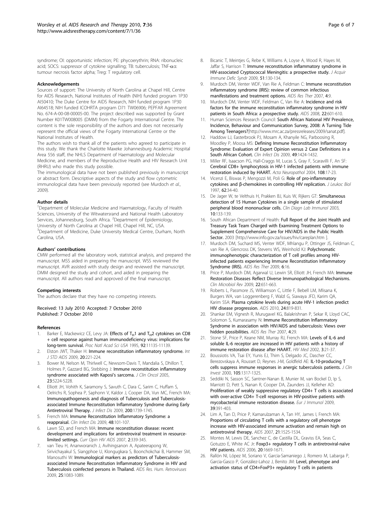<span id="page-5-0"></span>syndrome; OI: opportunistic infection; PE: phycoerythrin; RNA: ribonucleic acid; SOCS: suppressor of cytokine signalling; TB: tuberculosis; TNF-aα: tumour necrosis factor alpha; Treg: T regulatory cell.

#### Acknowledgements

Sources of support: The University of North Carolina at Chapel Hill, Centre for AIDS Research, National Institutes of Health (NIH) funded program 1P30 AI50410; The Duke Centre for AIDS Research, NIH funded program 1P30 AI64518; NIH funded ICOHRTA program D71 TW06906; PEPFAR Agreement No. 674-A-00-08-00005-00. The project described was supported by Grant Number K01TW008005 (DMM) from the Fogarty International Centre. The content is the sole responsibility of the authors and does not necessarily represent the official views of the Fogarty International Centre or the National Institutes of Health.

The authors wish to thank all of the patients who agreed to participate in this study. We thank the Charlotte Maxeke Johannesburg Academic Hospital Area 556 staff, the NHLS Department of Haematology and Molecular Medicine, and members of the Reproductive Health and HIV Research Unit (RHRU) who made this study possible.

The immunological data have not been published previously in manuscript or abstract form. Descriptive aspects of the study and flow cytometric immunological data have been previously reported (see Murdoch et al., 2009).

#### Author details

<sup>1</sup>Department of Molecular Medicine and Haematology, Faculty of Health Sciences, University of the Witwatersrand and National Health Laboratory Services, Johannesburg, South Africa. <sup>2</sup>Department of Epidemiology, University of North Carolina at Chapel Hill, Chapel Hill, NC, USA. <sup>3</sup>Department of Medicine, Duke University Medical Centre, Durham, North Carolina, USA.

#### Authors' contributions

CMW performed all the laboratory work, statistical analysis, and prepared the manuscript. MSS aided in preparing the manuscript. WSS reviewed the manuscript. AVR assisted with study design and reviewed the manuscript. DMM designed the study and cohort, and aided in preparing the manuscript. All authors read and approved of the final manuscript.

#### Competing interests

The authors declare that they have no competing interests.

Received: 13 July 2010 Accepted: 7 October 2010 Published: 7 October 2010

#### References

- Barker E, Mackewicz CE, Levy JA: Effects of  $T_H1$  and  $T_H2$  cytokines on CD8 [+ cell response against human immunodeficiency virus: implications for](http://www.ncbi.nlm.nih.gov/pubmed/7479952?dopt=Abstract) [long-term survival.](http://www.ncbi.nlm.nih.gov/pubmed/7479952?dopt=Abstract) Proc Natl Acad Sci USA 1995, 92:11135-11139.
- Elston JWT, Thaker H: [Immune reconstitution inflammatory syndrome.](http://www.ncbi.nlm.nih.gov/pubmed/19304962?dopt=Abstract) Int J STD AIDS 2009, 20:221-224.
- 3. Bower M, Nelson M, Thirlwell C, Newsom-Davis T, Mandalia S, Dhillon T, Holmes P, Gazzard BG, Stebbing J: [Immune reconstitution inflammatory](http://www.ncbi.nlm.nih.gov/pubmed/16051964?dopt=Abstract) [syndrome associated with Kaposi](http://www.ncbi.nlm.nih.gov/pubmed/16051964?dopt=Abstract)'s sarcoma. J Clin Oncol 2005, 23:5224-5228.
- Elliott JH, Vohith K, Saramony S, Savuth C, Dara C, Sarim C, Huffam S, Oelrichs R, Sophea P, Saphonn V, Kaldor J, Cooper DA, Vun MC, French MA: Immunopathogenesis and diagnosis of Tuberculosis and Tuberculosisassociated Immune Reconstitution Inflammatory Syndrome during Early Antiretroviral Therapy. J Infect Dis 2009, 200:1739-1745.
- 5. French MA: [Immune Reconstitution Inflammatory Syndrome: a](http://www.ncbi.nlm.nih.gov/pubmed/19025493?dopt=Abstract) [reappraisal.](http://www.ncbi.nlm.nih.gov/pubmed/19025493?dopt=Abstract) Clin Infect Dis 2009, 48:101-107.
- 6. Lawn SD, and French MA: [Immune reconstitution disease: recent](http://www.ncbi.nlm.nih.gov/pubmed/19372909?dopt=Abstract) [development and implications for antiretroviral treatment in resource](http://www.ncbi.nlm.nih.gov/pubmed/19372909?dopt=Abstract)[limited settings.](http://www.ncbi.nlm.nih.gov/pubmed/19372909?dopt=Abstract) Curr Opin HIV AIDS 2007, 2:339-345.
- 7. van Tieu H, Ananworanich J, Avihingsanon A, Apateerapong W, Sirivichayakul S, Siangphoe U, Klongugkara S, Boonchokchai B, Hammer SM, Manosuthi W: [Immunological markers as predictors of Tuberculosis](http://www.ncbi.nlm.nih.gov/pubmed/19886838?dopt=Abstract)[associated Immune Reconstitution Inflammatory Syndrome in HIV and](http://www.ncbi.nlm.nih.gov/pubmed/19886838?dopt=Abstract) [Tuberculosis coinfected persons in Thailand.](http://www.ncbi.nlm.nih.gov/pubmed/19886838?dopt=Abstract) AIDS Res. Hum. Retroviruses 2009, 25:1083-1089.
- 8. Bicanic T, Meinties G, Rebe K, Williams A, Loyse A, Wood R, Hayes M, Jaffar S, Harrison T: [Immune reconstitution inflammatory syndrome in](http://www.ncbi.nlm.nih.gov/pubmed/19365271?dopt=Abstract) [HIV-associated Cryptococcal Meningitis: a prospective study.](http://www.ncbi.nlm.nih.gov/pubmed/19365271?dopt=Abstract) J Acquir Immune Defic Syndr 2009, 51:130-134.
- 9. Murdoch DM, Venter WDF, Van Rie A, Feldman C: [Immune reconstitution](http://www.ncbi.nlm.nih.gov/pubmed/17488505?dopt=Abstract) [inflammatory syndrome \(IRIS\): review of common infectious](http://www.ncbi.nlm.nih.gov/pubmed/17488505?dopt=Abstract) [manifestations and treatment options.](http://www.ncbi.nlm.nih.gov/pubmed/17488505?dopt=Abstract) AIDS Res Ther 2007, 4:9.
- 10. Murdoch DM, Venter WDF, Feldman C, Van Rie A: [Incidence and risk](http://www.ncbi.nlm.nih.gov/pubmed/18317001?dopt=Abstract) [factors for the immune reconstitution inflammatory syndrome in HIV](http://www.ncbi.nlm.nih.gov/pubmed/18317001?dopt=Abstract) [patients in South Africa: a prospective study.](http://www.ncbi.nlm.nih.gov/pubmed/18317001?dopt=Abstract) AIDS 2008, 22:601-610.
- 11. Human Sciences Research Council: South African National HIV Prevalence, Incidence, Behaviour and Communication Survey, 2008: A Turning Tide Among Teenagers?[\[http://www.mrc.ac.za/pressreleases/2009/sanat.pdf\]](http://www.mrc.ac.za/pressreleases/2009/sanat.pdf).
- 12. Haddow LJ, Easterbrook PJ, Mosam A, Khanyile NG, Parboosing R, Moodley P, Moosa MS: [Defining Immune Reconstitution Inflammatory](http://www.ncbi.nlm.nih.gov/pubmed/19788360?dopt=Abstract) [Syndrome: Evaluation of Expert Opinion versus 2 Case Definitions in a](http://www.ncbi.nlm.nih.gov/pubmed/19788360?dopt=Abstract) [South African Cohort.](http://www.ncbi.nlm.nih.gov/pubmed/19788360?dopt=Abstract) Clin Infect Dis 2009, 49:1424-1432.
- 13. Miller RF, Isaacson PG, Hall-Craggs M, Lucas S, Gray F, Scaravilli F, An SF: [Cerebral CD8+ lymphocytosis in HIV-1 infected patients with immune](http://www.ncbi.nlm.nih.gov/pubmed/15085359?dopt=Abstract) [restoration induced by HAART.](http://www.ncbi.nlm.nih.gov/pubmed/15085359?dopt=Abstract) Acta Neuropathol 2004, 108:17-23.
- 14. Vicenzi E, Biswas P, Mengozzi M, Poli G: [Role of pro-inflammatory](http://www.ncbi.nlm.nih.gov/pubmed/9225990?dopt=Abstract) cytokines and β[-chemokines in controlling HIV replication.](http://www.ncbi.nlm.nih.gov/pubmed/9225990?dopt=Abstract) J Leukoc Biol 1997 62:34-40.
- 15. De Jager W, te Velthuis H, Prakken BJ, Kuis W, Rijkers GT: [Simultaneous](http://www.ncbi.nlm.nih.gov/pubmed/12522051?dopt=Abstract) [detection of 15 Human Cytokines in a single sample of stimulated](http://www.ncbi.nlm.nih.gov/pubmed/12522051?dopt=Abstract) [peripheral blood mononuclear cells.](http://www.ncbi.nlm.nih.gov/pubmed/12522051?dopt=Abstract) Clin Diagn Lab Immunol 2003, 10:133-139.
- 16. South African Department of Health: Full Report of the Joint Health and Treasury Task Team Charged with Examining Treatment Options to Supplement Comprehensive Care for HIV/AIDS in the Public Health Sector. 2003 [[http://www.info.gov.za/issues/hiv/careplan.htm \]](http://www.info.gov.za/issues/hiv/careplan.htm ).
- 17. Murdoch DM, Suchard MS, Venter WDF, Mhlangu P, Ottinger JS, Feldman C, van Rie A, Glencross DK, Stevens WS, Weinhold KJ: [Polychromatic](http://www.ncbi.nlm.nih.gov/pubmed/19607684?dopt=Abstract) [immunophenotypic characterization of T cell profiles among HIV](http://www.ncbi.nlm.nih.gov/pubmed/19607684?dopt=Abstract)[infected patients experiencing Immune Reconstitution Inflammatory](http://www.ncbi.nlm.nih.gov/pubmed/19607684?dopt=Abstract) [Syndrome \(IRIS\).](http://www.ncbi.nlm.nih.gov/pubmed/19607684?dopt=Abstract) AIDS Res Ther 2009, 6:16.
- 18. Price P, Murdoch DM, Agarwal U, Lewin SR, Elliott JH, French MA: [Immune](http://www.ncbi.nlm.nih.gov/pubmed/19822893?dopt=Abstract) [Restoration Diseases Reflect Diverse Immunopathological Mechanisms.](http://www.ncbi.nlm.nih.gov/pubmed/19822893?dopt=Abstract) Clin Microbiol Rev 2009, 22:651-663.
- 19. Roberts L, Passmore JS, Williamson C, Little F, Bebell LM, Mlisana K, Burgers WA, van Loggerenberg F, Walzl G, Siawaya JFD, Karim QA, Karim SSA: [Plasma cytokine levels during acute HIV-1 infection predict](http://www.ncbi.nlm.nih.gov/pubmed/20224308?dopt=Abstract) [HIV disease progression.](http://www.ncbi.nlm.nih.gov/pubmed/20224308?dopt=Abstract) AIDS 2010, 24:819-831.
- 20. Shankar EM, Vignesh R, Murugavel KG, Balakrishnan P, Sekar R, Lloyd CAC, Solomon S, Kumarasamy N: [Immune Reconstitution Inflammatory](http://www.ncbi.nlm.nih.gov/pubmed/18053126?dopt=Abstract) [Syndrome in association with HIV/AIDS and tuberculosis: Views over](http://www.ncbi.nlm.nih.gov/pubmed/18053126?dopt=Abstract) [hidden possibilities.](http://www.ncbi.nlm.nih.gov/pubmed/18053126?dopt=Abstract) AIDS Res Ther 2007, 4:29.
- 21. Stone SF, Price P, Keane NM, Murray RJ, French MA: [Levels of IL-6 and](http://www.ncbi.nlm.nih.gov/pubmed/12059947?dopt=Abstract) [soluble IL-6 receptor are increased in HIV patients with a history of](http://www.ncbi.nlm.nih.gov/pubmed/12059947?dopt=Abstract) [immune restoration disease after HAART.](http://www.ncbi.nlm.nih.gov/pubmed/12059947?dopt=Abstract) HIV Med 2002, 3:21-37.
- 22. Boussiotis VA, Tsai EY, Yunis EJ, Thim S, Delgado JC, Dascher CC, Berezovskaya A, Rousset D, Reynes J-M, Goldfeld AE: [IL-10-producing T](http://www.ncbi.nlm.nih.gov/pubmed/10792007?dopt=Abstract) [cells suppress immune responses in anergic tuberculosis patients.](http://www.ncbi.nlm.nih.gov/pubmed/10792007?dopt=Abstract) J Clin Invest 2000, 105:1317-1325.
- 23. Seddiki N, Sasson SC, Santner-Nanan B, Munier M, van Bockel D, Ip S, Marriott D, Pett S, Nanan R, Cooper DA, Zaunders JJ, Kelleher AD: [Proliferation of weakly suppressive regulatory CD4+ T cells is associated](http://www.ncbi.nlm.nih.gov/pubmed/19180462?dopt=Abstract) [with over-active CD4+ T-cell responses in HIV-positive patients with](http://www.ncbi.nlm.nih.gov/pubmed/19180462?dopt=Abstract) [mycobacterial immune restoration disease.](http://www.ncbi.nlm.nih.gov/pubmed/19180462?dopt=Abstract) Fur J Immunol 2009, 39:391-403.
- 24. Lim A, Tan D, Price P, Kamarulzaman A, Tan HY, James I, French MA: [Proportions of circulating T cells with a regulatory cell phenotype](http://www.ncbi.nlm.nih.gov/pubmed/17630546?dopt=Abstract) [increase with HIV-associated immune activation and remain high on](http://www.ncbi.nlm.nih.gov/pubmed/17630546?dopt=Abstract) [antiretroviral therapy.](http://www.ncbi.nlm.nih.gov/pubmed/17630546?dopt=Abstract) AIDS 2007, 21:1525-1534.
- 25. Montes M, Lewis DE, Sanchez C, de Castilla DL, Graviss EA, Seas C, Gotuzzo E, White AC Jr: [Foxp3+ regulatory T cells in antiretroviral-naïve](http://www.ncbi.nlm.nih.gov/pubmed/16868450?dopt=Abstract) [HIV patients.](http://www.ncbi.nlm.nih.gov/pubmed/16868450?dopt=Abstract) AIDS 2006, 20:1669-1671.
- 26. Rallón NI, López M, Soriano V, Garcia-Samaniego J, Romero M, Labarga P, Garcia-Gasco P, González-Lahoz J, Benito JM: [Level, phenotype and](http://www.ncbi.nlm.nih.gov/pubmed/19076827?dopt=Abstract) [activation status of CD4+FoxP3+ regulatory T cells in patients](http://www.ncbi.nlm.nih.gov/pubmed/19076827?dopt=Abstract)